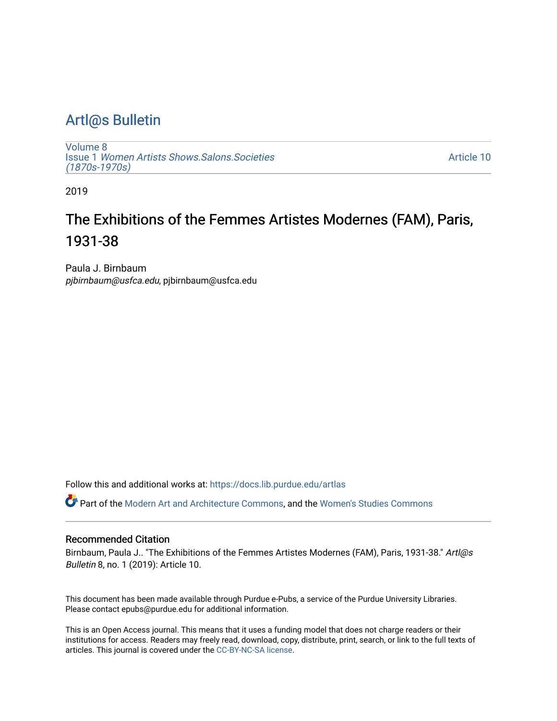# [Artl@s Bulletin](https://docs.lib.purdue.edu/artlas)

[Volume 8](https://docs.lib.purdue.edu/artlas/vol8) Issue 1 [Women Artists Shows.Salons.Societies](https://docs.lib.purdue.edu/artlas/vol8/iss1)  [\(1870s-1970s\)](https://docs.lib.purdue.edu/artlas/vol8/iss1)

[Article 10](https://docs.lib.purdue.edu/artlas/vol8/iss1/10) 

2019

# The Exhibitions of the Femmes Artistes Modernes (FAM), Paris, 1931-38

Paula J. Birnbaum pjbirnbaum@usfca.edu, pjbirnbaum@usfca.edu

Follow this and additional works at: [https://docs.lib.purdue.edu/artlas](https://docs.lib.purdue.edu/artlas?utm_source=docs.lib.purdue.edu%2Fartlas%2Fvol8%2Fiss1%2F10&utm_medium=PDF&utm_campaign=PDFCoverPages)

Part of the [Modern Art and Architecture Commons,](http://network.bepress.com/hgg/discipline/515?utm_source=docs.lib.purdue.edu%2Fartlas%2Fvol8%2Fiss1%2F10&utm_medium=PDF&utm_campaign=PDFCoverPages) and the [Women's Studies Commons](http://network.bepress.com/hgg/discipline/561?utm_source=docs.lib.purdue.edu%2Fartlas%2Fvol8%2Fiss1%2F10&utm_medium=PDF&utm_campaign=PDFCoverPages) 

#### Recommended Citation

Birnbaum, Paula J.. "The Exhibitions of the Femmes Artistes Modernes (FAM), Paris, 1931-38." Artl@s Bulletin 8, no. 1 (2019): Article 10.

This document has been made available through Purdue e-Pubs, a service of the Purdue University Libraries. Please contact epubs@purdue.edu for additional information.

This is an Open Access journal. This means that it uses a funding model that does not charge readers or their institutions for access. Readers may freely read, download, copy, distribute, print, search, or link to the full texts of articles. This journal is covered under the [CC-BY-NC-SA license.](https://creativecommons.org/licenses/by-nc-sa/4.0/)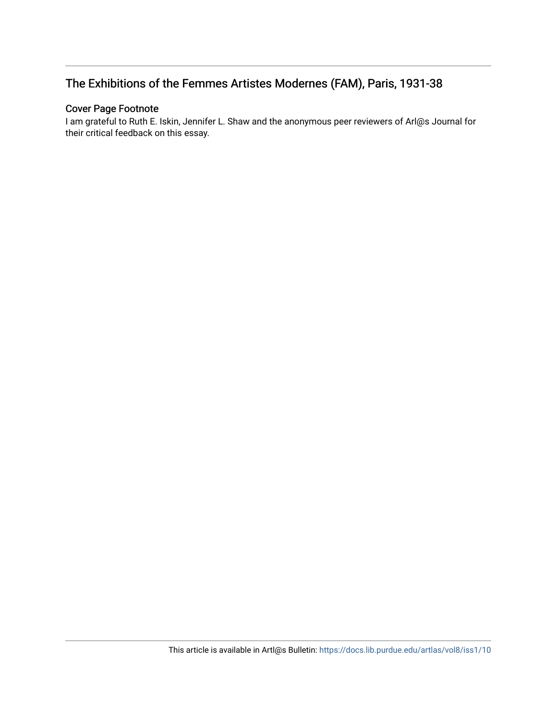# The Exhibitions of the Femmes Artistes Modernes (FAM), Paris, 1931-38

# Cover Page Footnote

I am grateful to Ruth E. Iskin, Jennifer L. Shaw and the anonymous peer reviewers of Arl@s Journal for their critical feedback on this essay.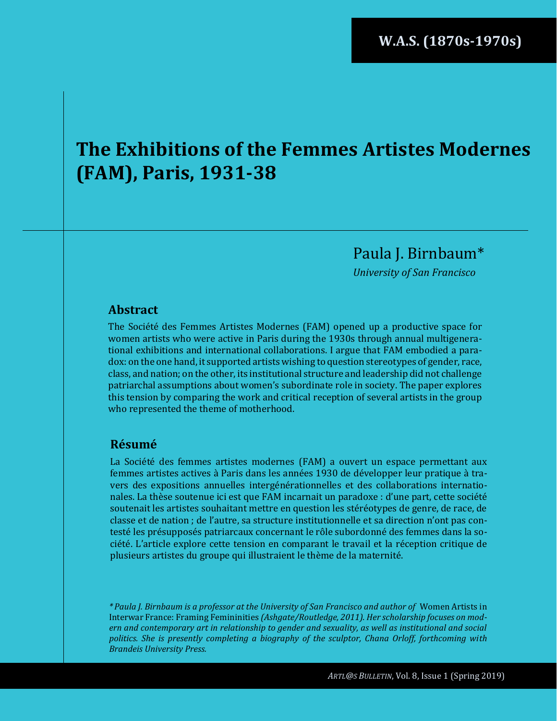# **The Exhibitions of the Femmes Artistes Modernes (FAM), Paris, 1931-38**

Paula J. Birnbaum\*

*University of San Francisco*

## **Abstract**

The Société des Femmes Artistes Modernes (FAM) opened up a productive space for women artists who were active in Paris during the 1930s through annual multigenerational exhibitions and international collaborations. I argue that FAM embodied a paradox: on the one hand, it supported artists wishing to question stereotypes of gender, race, class, and nation; on the other, its institutional structure and leadership did not challenge patriarchal assumptions about women's subordinate role in society. The paper explores this tension by comparing the work and critical reception of several artists in the group who represented the theme of motherhood.

# **Résumé**

La Société des femmes artistes modernes (FAM) a ouvert un espace permettant aux femmes artistes actives à Paris dans les années 1930 de développer leur pratique à travers des expositions annuelles intergénérationnelles et des collaborations internationales. La thèse soutenue ici est que FAM incarnait un paradoxe : d'une part, cette société soutenait les artistes souhaitant mettre en question les stéréotypes de genre, de race, de classe et de nation ; de l'autre, sa structure institutionnelle et sa direction n'ont pas contesté les présupposés patriarcaux concernant le rôle subordonné des femmes dans la société. L'article explore cette tension en comparant le travail et la réception critique de plusieurs artistes du groupe qui illustraient le thème de la maternité.

*\* Paula J. Birnbaum is a professor at the University of San Francisco and author of* Women Artists in Interwar France: Framing Femininities *(Ashgate/Routledge, 2011). Her scholarship focuses on modern and contemporary art in relationship to gender and sexuality, as well as institutional and social politics. She is presently completing a biography of the sculptor, Chana Orloff, forthcoming with Brandeis University Press.*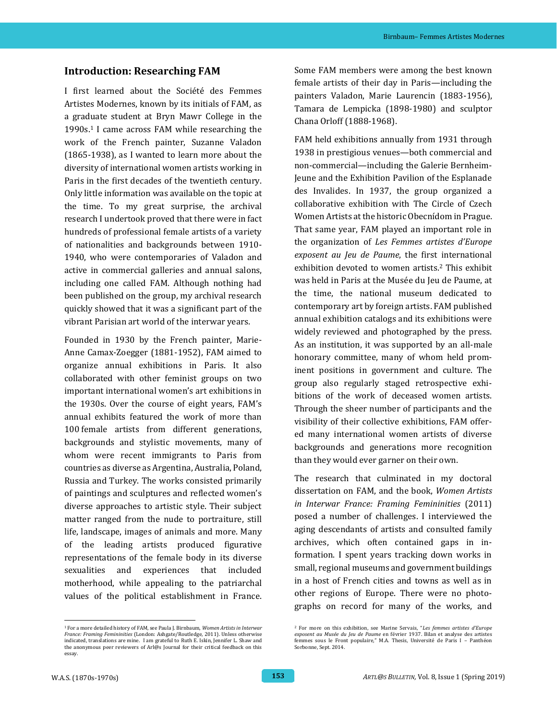#### **Introduction: Researching FAM**

I first learned about the Société des Femmes Artistes Modernes, known by its initials of FAM, as a graduate student at Bryn Mawr College in the 1990s.<sup>1</sup> I came across FAM while researching the work of the French painter, Suzanne Valadon (1865-1938), as I wanted to learn more about the diversity of international women artists working in Paris in the first decades of the twentieth century. Only little information was available on the topic at the time. To my great surprise, the archival research I undertook proved that there were in fact hundreds of professional female artists of a variety of nationalities and backgrounds between 1910- 1940, who were contemporaries of Valadon and active in commercial galleries and annual salons, including one called FAM. Although nothing had been published on the group, my archival research quickly showed that it was a significant part of the vibrant Parisian art world of the interwar years.

Founded in 1930 by the French painter, Marie-Anne Camax-Zoegger (1881-1952), FAM aimed to organize annual exhibitions in Paris. It also collaborated with other feminist groups on two important international women's art exhibitions in the 1930s. Over the course of eight years, FAM's annual exhibits featured the work of more than 100 female artists from different generations, backgrounds and stylistic movements, many of whom were recent immigrants to Paris from countries as diverse as Argentina, Australia, Poland, Russia and Turkey. The works consisted primarily of paintings and sculptures and reflected women's diverse approaches to artistic style. Their subject matter ranged from the nude to portraiture, still life, landscape, images of animals and more. Many of the leading artists produced figurative representations of the female body in its diverse sexualities and experiences that included motherhood, while appealing to the patriarchal values of the political establishment in France.

 <sup>1</sup> For a more detailed history of FAM, see Paula J. Birnbaum, *Women Artists in Interwar France: Framing Femininities* (London: Ashgate/Routledge, 2011). Unless otherwise indicated, translations are mine. I am grateful to Ruth E. Iskin, Jennifer L. Shaw and the anonymous peer reviewers of Arl@s Journal for their critical feedback on this essay.

Some FAM members were among the best known female artists of their day in Paris—including the painters Valadon, Marie Laurencin (1883-1956), Tamara de Lempicka (1898-1980) and sculptor Chana Orloff (1888-1968).

FAM held exhibitions annually from 1931 through 1938 in prestigious venues—both commercial and non-commercial—including the Galerie Bernheim-Jeune and the Exhibition Pavilion of the Esplanade des Invalides. In 1937, the group organized a collaborative exhibition with The Circle of Czech Women Artists at the historic Obecnídom in Prague. That same year, FAM played an important role in the organization of *Les Femmes artistes d'Europe exposent au Jeu de Paume*, the first international exhibition devoted to women artists.<sup>2</sup> This exhibit was held in Paris at the Musée du Jeu de Paume, at the time, the national museum dedicated to contemporary art by foreign artists. FAM published annual exhibition catalogs and its exhibitions were widely reviewed and photographed by the press. As an institution, it was supported by an all-male honorary committee, many of whom held prominent positions in government and culture. The group also regularly staged retrospective exhibitions of the work of deceased women artists. Through the sheer number of participants and the visibility of their collective exhibitions, FAM offered many international women artists of diverse backgrounds and generations more recognition than they would ever garner on their own.

The research that culminated in my doctoral dissertation on FAM, and the book, *Women Artists in Interwar France: Framing Femininities* (2011) posed a number of challenges. I interviewed the aging descendants of artists and consulted family archives, which often contained gaps in information. I spent years tracking down works in small, regional museums and government buildings in a host of French cities and towns as well as in other regions of Europe. There were no photographs on record for many of the works, and

<sup>2</sup> For more on this exhibition, see Marine Servais, "*Les femmes artistes d'Europe exposent au Musée du Jeu de Paume* en février 1937. Bilan et analyse des artistes femmes sous le Front populaire," M.A. Thesis, Université de Paris I – Panthéon Sorbonne, Sept. 2014.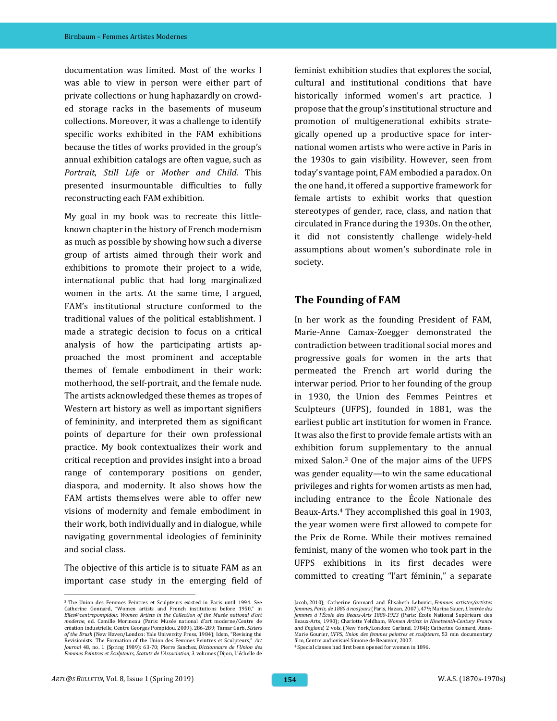documentation was limited. Most of the works I was able to view in person were either part of private collections or hung haphazardly on crowded storage racks in the basements of museum collections. Moreover, it was a challenge to identify specific works exhibited in the FAM exhibitions because the titles of works provided in the group's annual exhibition catalogs are often vague, such as *Portrait*, *Still Life* or *Mother and Child*. This presented insurmountable difficulties to fully reconstructing each FAM exhibition.

My goal in my book was to recreate this littleknown chapter in the history of French modernism as much as possible by showing how such a diverse group of artists aimed through their work and exhibitions to promote their project to a wide, international public that had long marginalized women in the arts. At the same time, I argued, FAM's institutional structure conformed to the traditional values of the political establishment. I made a strategic decision to focus on a critical analysis of how the participating artists approached the most prominent and acceptable themes of female embodiment in their work: motherhood, the self-portrait, and the female nude. The artists acknowledged these themes as tropes of Western art history as well as important signifiers of femininity, and interpreted them as significant points of departure for their own professional practice. My book contextualizes their work and critical reception and provides insight into a broad range of contemporary positions on gender, diaspora, and modernity. It also shows how the FAM artists themselves were able to offer new visions of modernity and female embodiment in their work, both individually and in dialogue, while navigating governmental ideologies of femininity and social class.

The objective of this article is to situate FAM as an important case study in the emerging field of feminist exhibition studies that explores the social, cultural and institutional conditions that have historically informed women's art practice. I propose that the group's institutional structure and promotion of multigenerational exhibits strategically opened up a productive space for international women artists who were active in Paris in the 1930s to gain visibility. However, seen from today's vantage point, FAM embodied a paradox. On the one hand, it offered a supportive framework for female artists to exhibit works that question stereotypes of gender, race, class, and nation that circulated in France during the 1930s. On the other, it did not consistently challenge widely-held assumptions about women's subordinate role in society.

## **The Founding of FAM**

In her work as the founding President of FAM, Marie-Anne Camax-Zoegger demonstrated the contradiction between traditional social mores and progressive goals for women in the arts that permeated the French art world during the interwar period. Prior to her founding of the group in 1930, the Union des Femmes Peintres et Sculpteurs (UFPS), founded in 1881, was the earliest public art institution for women in France. It was also the first to provide female artists with an exhibition forum supplementary to the annual mixed Salon.<sup>3</sup> One of the major aims of the UFPS was gender equality—to win the same educational privileges and rights for women artists as men had, including entrance to the École Nationale des Beaux-Arts.<sup>4</sup> They accomplished this goal in 1903, the year women were first allowed to compete for the Prix de Rome. While their motives remained feminist, many of the women who took part in the UFPS exhibitions in its first decades were committed to creating "l'art féminin," a separate

<sup>4</sup> Special classes had first been opened for women in 1896.

<sup>3</sup> The Union des Femmes Peintres et Sculpteurs existed in Paris until 1994. See Catherine Gonnard, "Women artists and French institutions before 1950," in *Elles@centrepompidou: Women Artists in the Collection of the Musée national d'art moderne*, ed. Camille Morineau (Paris: Musée national d'art moderne/Centre de création industrielle, Centre Georges Pompidou, 2009), 286-289; Tamar Garb, *Sisters of the Brush* (New Haven/London: Yale University Press, 1984); Idem, "Revising the Revisionists: The Formation of the Union des Femmes Peintres et Sculpteurs," *Art Journal* 48, no. 1 (Spring 1989): 63*-*70; Pierre Sanchez, *Dictionnaire de l'Union des Femmes Peintres et Sculpteurs, Statuts de l'Association*, 3 volumes (Dijon, L'échelle de

Jacob, 2010); Catherine Gonnard and Élisabeth Lebovici, *Femmes artistes/artistes femmes, Paris, de 1880 à nos jours* (Paris, Hazan, 2007), 479; Marina Sauer, *L'entrée des femmes à l'École des Beaux-Arts 1880-1923* (Paris: École National Supérieure des Beaux-Arts, 1990); Charlotte Yeldham, *Women Artists in Nineteenth-Century France and England*, 2 vols. (New York/London: Garland, 1984); Catherine Gonnard, Anne-Marie Gourier, *UFPS, Union des femmes peintres et sculpteurs*, 53 min documentary film, Centre audiovisuel Simone de Beauvoir, 2007.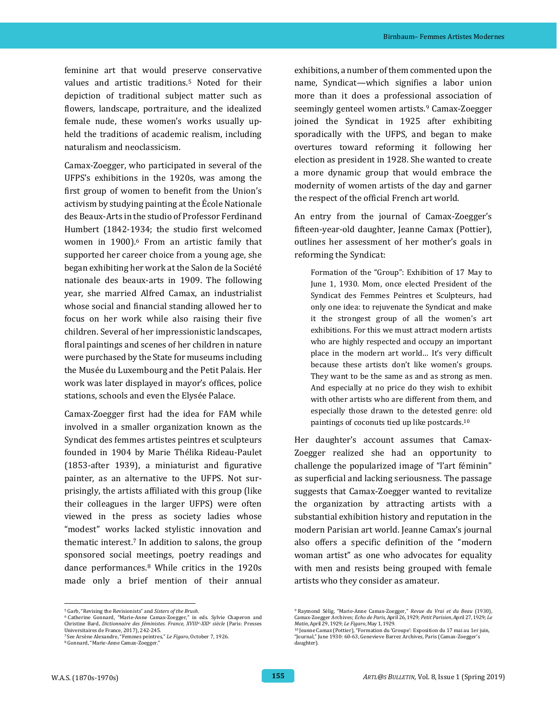feminine art that would preserve conservative values and artistic traditions.<sup>5</sup> Noted for their depiction of traditional subject matter such as flowers, landscape, portraiture, and the idealized female nude, these women's works usually upheld the traditions of academic realism, including naturalism and neoclassicism.

Camax-Zoegger, who participated in several of the UFPS's exhibitions in the 1920s, was among the first group of women to benefit from the Union's activism by studying painting at the École Nationale des Beaux-Arts in the studio of Professor Ferdinand Humbert (1842-1934; the studio first welcomed women in 1900).<sup>6</sup> From an artistic family that supported her career choice from a young age, she began exhibiting her work at the Salon de la Société nationale des beaux-arts in 1909. The following year, she married Alfred Camax, an industrialist whose social and financial standing allowed her to focus on her work while also raising their five children. Several of her impressionistic landscapes, floral paintings and scenes of her children in nature were purchased by the State for museums including the Musée du Luxembourg and the Petit Palais. Her work was later displayed in mayor's offices, police stations, schools and even the Elysée Palace.

Camax-Zoegger first had the idea for FAM while involved in a smaller organization known as the Syndicat des femmes artistes peintres et sculpteurs founded in 1904 by Marie Thélika Rideau-Paulet (1853-after 1939), a miniaturist and figurative painter, as an alternative to the UFPS. Not surprisingly, the artists affiliated with this group (like their colleagues in the larger UFPS) were often viewed in the press as society ladies whose "modest" works lacked stylistic innovation and thematic interest.<sup>7</sup> In addition to salons, the group sponsored social meetings, poetry readings and dance performances.<sup>8</sup> While critics in the 1920s made only a brief mention of their annual exhibitions, a number of them commented upon the name, Syndicat—which signifies a labor union more than it does a professional association of seemingly genteel women artists.<sup>9</sup> Camax-Zoegger joined the Syndicat in 1925 after exhibiting sporadically with the UFPS, and began to make overtures toward reforming it following her election as president in 1928. She wanted to create a more dynamic group that would embrace the modernity of women artists of the day and garner the respect of the official French art world.

An entry from the journal of Camax-Zoegger's fifteen-year-old daughter, Jeanne Camax (Pottier), outlines her assessment of her mother's goals in reforming the Syndicat:

Formation of the "Group": Exhibition of 17 May to June 1, 1930. Mom, once elected President of the Syndicat des Femmes Peintres et Sculpteurs, had only one idea: to rejuvenate the Syndicat and make it the strongest group of all the women's art exhibitions. For this we must attract modern artists who are highly respected and occupy an important place in the modern art world… It's very difficult because these artists don't like women's groups. They want to be the same as and as strong as men. And especially at no price do they wish to exhibit with other artists who are different from them, and especially those drawn to the detested genre: old paintings of coconuts tied up like postcards.<sup>10</sup>

Her daughter's account assumes that Camax-Zoegger realized she had an opportunity to challenge the popularized image of "l'art féminin" as superficial and lacking seriousness. The passage suggests that Camax-Zoegger wanted to revitalize the organization by attracting artists with a substantial exhibition history and reputation in the modern Parisian art world. Jeanne Camax's journal also offers a specific definition of the "modern woman artist" as one who advocates for equality with men and resists being grouped with female artists who they consider as amateur.

<sup>5</sup> Garb, "Revising the Revisionists" and *Sisters of the Brush*.

<sup>6</sup> Catherine Gonnard, "Marie-Anne Camax-Zoegger," in eds. Sylvie Chaperon and Christine Bard, *Dictionnaire des féministes. France, XVIII<sup>e</sup> -XXI<sup>e</sup> siècle* (Paris: Presses Universitaires de France, 2017), 242-245.

<sup>7</sup> See Arsène Alexandre, "Femmes peintres," *Le Figaro*, October 7, 1926.

<sup>8</sup> Gonnard, "Marie-Anne Camax-Zoegger."

<sup>9</sup> Raymond Sélig, "Marie-Anne Camax-Zoegger," *Revue du Vrai et du Beau* (1930), Camax-Zoegger Archives; *Echo de Paris*, April 26, 1929; *Petit Parisien*, April 27, 1929; *Le Matin*, April 29, 1929; *Le Figaro*, May 1, 1929.

<sup>10</sup> Jeanne Camax (Pottier), "Formation du 'Groupe': Exposition du 17 mai au 1er juin, "Journal," June 1930: 60-63, Genevieve Barrez Archives, Paris (Camax-Zoegger's daughter).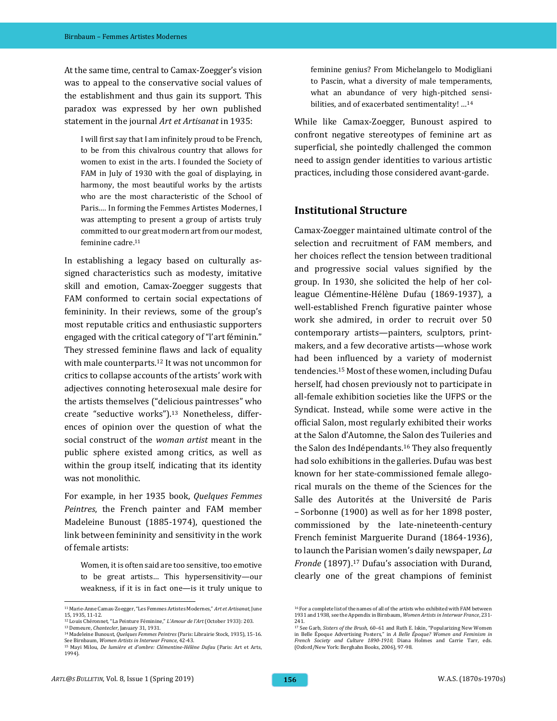At the same time, central to Camax-Zoegger's vision was to appeal to the conservative social values of the establishment and thus gain its support. This paradox was expressed by her own published statement in the journal *Art et Artisanat* in 1935:

I will first say that I am infinitely proud to be French, to be from this chivalrous country that allows for women to exist in the arts. I founded the Society of FAM in July of 1930 with the goal of displaying, in harmony, the most beautiful works by the artists who are the most characteristic of the School of Paris.… In forming the Femmes Artistes Modernes, I was attempting to present a group of artists truly committed to our great modern art from our modest, feminine cadre.<sup>11</sup>

In establishing a legacy based on culturally assigned characteristics such as modesty, imitative skill and emotion, Camax-Zoegger suggests that FAM conformed to certain social expectations of femininity. In their reviews, some of the group's most reputable critics and enthusiastic supporters engaged with the critical category of "l'art féminin." They stressed feminine flaws and lack of equality with male counterparts.<sup>12</sup> It was not uncommon for critics to collapse accounts of the artists' work with adjectives connoting heterosexual male desire for the artists themselves ("delicious paintresses" who create "seductive works").<sup>13</sup> Nonetheless, differences of opinion over the question of what the social construct of the *woman artist* meant in the public sphere existed among critics, as well as within the group itself, indicating that its identity was not monolithic.

For example, in her 1935 book, *Quelques Femmes Peintres*, the French painter and FAM member Madeleine Bunoust (1885-1974), questioned the link between femininity and sensitivity in the work of female artists:

Women, it is often said are too sensitive, too emotive to be great artists… This hypersensitivity—our weakness, if it is in fact one—is it truly unique to feminine genius? From Michelangelo to Modigliani to Pascin, what a diversity of male temperaments, what an abundance of very high-pitched sensibilities, and of exacerbated sentimentality! …<sup>14</sup>

While like Camax-Zoegger, Bunoust aspired to confront negative stereotypes of feminine art as superficial, she pointedly challenged the common need to assign gender identities to various artistic practices, including those considered avant-garde.

## **Institutional Structure**

Camax-Zoegger maintained ultimate control of the selection and recruitment of FAM members, and her choices reflect the tension between traditional and progressive social values signified by the group. In 1930, she solicited the help of her colleague Clémentine-Hélène Dufau (1869-1937), a well-established French figurative painter whose work she admired, in order to recruit over 50 contemporary artists—painters, sculptors, printmakers, and a few decorative artists—whose work had been influenced by a variety of modernist tendencies.<sup>15</sup> Most of these women, including Dufau herself, had chosen previously not to participate in all-female exhibition societies like the UFPS or the Syndicat. Instead, while some were active in the official Salon, most regularly exhibited their works at the Salon d'Automne, the Salon des Tuileries and the Salon des Indépendants.<sup>16</sup> They also frequently had solo exhibitions in the galleries. Dufau was best known for her state-commissioned female allegorical murals on the theme of the Sciences for the Salle des Autorités at the Université de Paris – Sorbonne (1900) as well as for her 1898 poster, commissioned by the late-nineteenth-century French feminist Marguerite Durand (1864-1936), to launch the Parisian women's daily newspaper, *La Fronde* (1897). <sup>17</sup> Dufau's association with Durand, clearly one of the great champions of feminist

 <sup>11</sup> Marie-Anne Camax-Zoegger, "Les Femmes Artistes Modernes," *Art et Artisanat*, June 15, 1935, 11-12.

<sup>12</sup> Louis Chéronnet, "La Peinture Féminine," *L'Amour de l'Art* (October 1933): 203. <sup>13</sup> Demeure, *Chantecler*, January 31, 1931.

<sup>14</sup> Madeleine Bunoust, *Quelques Femmes Peintres* (Paris: Librairie Stock, 1935), 15-16. See Birnbaum, *Women Artists in Interwar France*, 42-43.

<sup>15</sup> Mayi Milou, *De lumière et d'ombre: Clémentine-Hélène Dufau* (Paris: Art et Arts, 1994).

<sup>16</sup> For a complete list of the names of all of the artists who exhibited with FAM between 1931 and 1938, see the Appendix in Birnbaum, *Women Artists in Interwar France*, 231- 241.

<sup>17</sup> See Garb, *Sisters of the Brush*, 60–61 and Ruth E. Iskin, "Popularizing New Women in Belle Époque Advertising Posters," in *A Belle Époque? Women and Feminism in French Society and Culture 1890-1910,* Diana Holmes and Carrie Tarr, eds. (Oxford/New York: Berghahn Books, 2006), 97-98.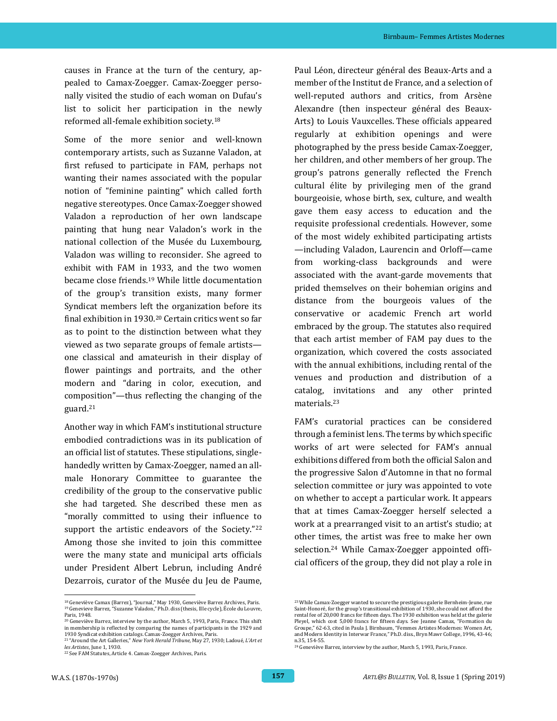causes in France at the turn of the century, appealed to Camax-Zoegger. Camax-Zoegger personally visited the studio of each woman on Dufau's list to solicit her participation in the newly reformed all-female exhibition society.<sup>18</sup>

Some of the more senior and well-known contemporary artists, such as Suzanne Valadon, at first refused to participate in FAM, perhaps not wanting their names associated with the popular notion of "feminine painting" which called forth negative stereotypes. Once Camax-Zoegger showed Valadon a reproduction of her own landscape painting that hung near Valadon's work in the national collection of the Musée du Luxembourg, Valadon was willing to reconsider. She agreed to exhibit with FAM in 1933, and the two women became close friends.<sup>19</sup> While little documentation of the group's transition exists, many former Syndicat members left the organization before its final exhibition in 1930.<sup>20</sup> Certain critics went so far as to point to the distinction between what they viewed as two separate groups of female artists one classical and amateurish in their display of flower paintings and portraits, and the other modern and "daring in color, execution, and composition"—thus reflecting the changing of the guard.<sup>21</sup>

Another way in which FAM's institutional structure embodied contradictions was in its publication of an official list of statutes. These stipulations, singlehandedly written by Camax-Zoegger, named an allmale Honorary Committee to guarantee the credibility of the group to the conservative public she had targeted. She described these men as "morally committed to using their influence to support the artistic endeavors of the Society."22 Among those she invited to join this committee were the many state and municipal arts officials under President Albert Lebrun, including André Dezarrois, curator of the Musée du Jeu de Paume,

Paul Léon, directeur général des Beaux-Arts and a member of the Institut de France, and a selection of well-reputed authors and critics, from Arsène Alexandre (then inspecteur général des Beaux-Arts) to Louis Vauxcelles. These officials appeared regularly at exhibition openings and were photographed by the press beside Camax-Zoegger, her children, and other members of her group. The group's patrons generally reflected the French cultural élite by privileging men of the grand bourgeoisie, whose birth, sex, culture, and wealth gave them easy access to education and the requisite professional credentials. However, some of the most widely exhibited participating artists —including Valadon, Laurencin and Orloff—came from working-class backgrounds and were associated with the avant-garde movements that prided themselves on their bohemian origins and distance from the bourgeois values of the conservative or academic French art world embraced by the group. The statutes also required that each artist member of FAM pay dues to the organization, which covered the costs associated with the annual exhibitions, including rental of the venues and production and distribution of a catalog, invitations and any other printed materials.<sup>23</sup>

FAM's curatorial practices can be considered through a feminist lens. The terms by which specific works of art were selected for FAM's annual exhibitions differed from both the official Salon and the progressive Salon d'Automne in that no formal selection committee or jury was appointed to vote on whether to accept a particular work. It appears that at times Camax-Zoegger herself selected a work at a prearranged visit to an artist's studio; at other times, the artist was free to make her own selection.<sup>24</sup> While Camax-Zoegger appointed official officers of the group, they did not play a role in

<sup>18</sup> Geneviève Camax (Barrez), "Journal," May 1930, Geneviève Barrez Archives, Paris. <sup>19</sup> Genevieve Barrez, "Suzanne Valadon," Ph.D. diss (thesis, IIIe cycle), École du Louvre, Paris, 1948.

<sup>20</sup> Geneviève Barrez, interview by the author, March 5, 1993, Paris, France. This shift in membership is reflected by comparing the names of participants in the 1929 and 1930 Syndicat exhibition catalogs. Camax-Zoegger Archives, Paris.

<sup>21</sup> "Around the Art Galleries," *New York Herald Tribune*, May 27, 1930; Ladoué, *L'Art et les Artistes*, June 1, 1930.

<sup>22</sup> See FAM Statutes, Article 4. Camax-Zoegger Archives, Paris.

<sup>&</sup>lt;sup>23</sup> While Camax-Zoegger wanted to secure the prestigious galerie Bernheim-Jeune, rue<br>Saint-Honoré, for the group's transitional exhibition of 1930, she could not afford the rental fee of 20,000 francs for fifteen days. The 1930 exhibition was held at the galerie Pleyel, which cost 5,000 francs for fifteen days. See Jeanne Camax, "Formation du Groupe," 62-63, cited in Paula J. Birnbaum, "Femmes Artistes Modernes: Women Art, and Modern Identity in Interwar France," Ph.D. diss., Bryn Mawr College, 1996, 43-46; n.35, 154-55.

<sup>24</sup> Geneviève Barrez, interview by the author, March 5, 1993, Paris, France.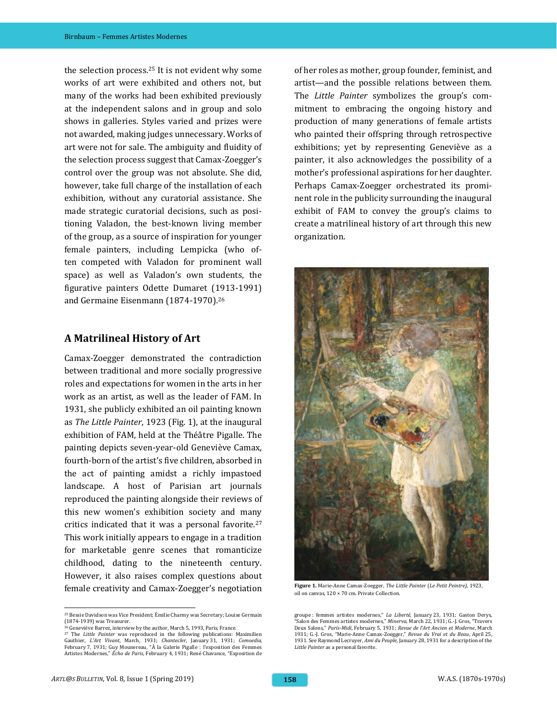the selection process.<sup>25</sup> It is not evident why some works of art were exhibited and others not, but many of the works had been exhibited previously at the independent salons and in group and solo shows in galleries. Styles varied and prizes were not awarded, making judges unnecessary. Works of art were not for sale. The ambiguity and fluidity of the selection process suggest that Camax-Zoegger's control over the group was not absolute. She did, however, take full charge of the installation of each exhibition, without any curatorial assistance. She made strategic curatorial decisions, such as positioning Valadon, the best-known living member of the group, as a source of inspiration for younger female painters, including Lempicka (who often competed with Valadon for prominent wall space) as well as Valadon's own students, the figurative painters Odette Dumaret (1913-1991) and Germaine Eisenmann (1874-1970).<sup>26</sup>

#### **A Matrilineal History of Art**

Camax-Zoegger demonstrated the contradiction between traditional and more socially progressive roles and expectations for women in the arts in her work as an artist, as well as the leader of FAM. In 1931, she publicly exhibited an oil painting known as *The Little Painter*, 1923 (Fig. 1), at the inaugural exhibition of FAM, held at the Théâtre Pigalle. The painting depicts seven-year-old Geneviève Camax, fourth-born of the artist's five children, absorbed in the act of painting amidst a richly impastoed landscape. A host of Parisian art journals reproduced the painting alongside their reviews of this new women's exhibition society and many critics indicated that it was a personal favorite.<sup>27</sup> This work initially appears to engage in a tradition for marketable genre scenes that romanticize childhood, dating to the nineteenth century. However, it also raises complex questions about female creativity and Camax-Zoegger's negotiation

<sup>27</sup> The *Little Painter* was reproduced in the following publications: Maximilien Gauthier, *L'Art Vivant*, March, 1931; *Chantecler*, January 31, 1931; *Comoedia*, February 7, 1931; Guy Mounereau, "À la Galerie Pigalle : l'exposition des Femmes Artistes Modernes," *Écho de Paris*, February 4, 1931; René Chavance, "Exposition de

of her roles as mother, group founder, feminist, and artist—and the possible relations between them. The *Little Painter* symbolizes the group's commitment to embracing the ongoing history and production of many generations of female artists who painted their offspring through retrospective exhibitions; yet by representing Geneviève as a painter, it also acknowledges the possibility of a mother's professional aspirations for her daughter. Perhaps Camax-Zoegger orchestrated its prominent role in the publicity surrounding the inaugural exhibit of FAM to convey the group's claims to create a matrilineal history of art through this new organization.



**Figure 1.** Marie-Anne Camax-Zoegger, *The Little Painter* (*Le Petit Peintre)*, 1923, oil on canvas, 120 × 70 cm. Private Collection.

<sup>25</sup> Bessie Davidson was Vice President; Émilie Charmy was Secretary; Louise Germain (1874-1939) was Treasurer. <sup>26</sup> Geneviève Barrez, interview by the author, March 5, 1993, Paris, France.

groupe : femmes artistes modernes," *La Liberté*, January 23, 1931; Gaston Derys, "Salon des Femmes artistes modernes," *Minerva*, March 22, 1931; G.-J. Gros, "Travers Deux Salons," *Paris-Midi*, February 5, 1931; *Revue de l'Art Ancien et Moderne*, March 1931; G.-J. Gros, "Marie-Anne Camax-Zoegger," *Revue du Vrai et du Beau*, April 25, 1931. See Raymond Lecruyer, *Ami du Peuple*, January 28, 1931 for a description of the *Little Painter* as a personal favorite.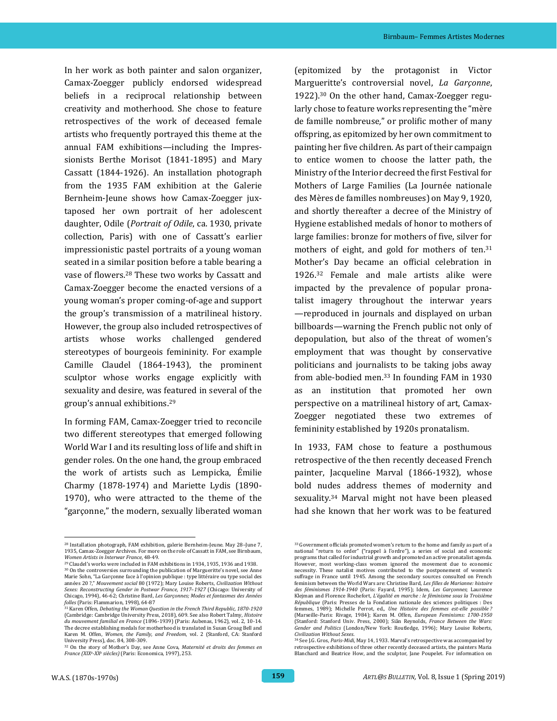In her work as both painter and salon organizer, Camax-Zoegger publicly endorsed widespread beliefs in a reciprocal relationship between creativity and motherhood. She chose to feature retrospectives of the work of deceased female artists who frequently portrayed this theme at the annual FAM exhibitions—including the Impressionists Berthe Morisot (1841-1895) and Mary Cassatt (1844-1926). An installation photograph from the 1935 FAM exhibition at the Galerie Bernheim-Jeune shows how Camax-Zoegger juxtaposed her own portrait of her adolescent daughter, Odile (*Portrait of Odile*, ca. 1930, private collection, Paris) with one of Cassatt's earlier impressionistic pastel portraits of a young woman seated in a similar position before a table bearing a vase of flowers.<sup>28</sup> These two works by Cassatt and Camax-Zoegger become the enacted versions of a young woman's proper coming-of-age and support the group's transmission of a matrilineal history. However, the group also included retrospectives of artists whose works challenged gendered stereotypes of bourgeois femininity. For example Camille Claudel (1864-1943), the prominent sculptor whose works engage explicitly with sexuality and desire, was featured in several of the group's annual exhibitions.<sup>29</sup>

In forming FAM, Camax-Zoegger tried to reconcile two different stereotypes that emerged following World War I and its resulting loss of life and shift in gender roles. On the one hand, the group embraced the work of artists such as Lempicka, Émilie Charmy (1878-1974) and Mariette Lydis (1890- 1970), who were attracted to the theme of the "garçonne," the modern, sexually liberated woman

(epitomized by the protagonist in Victor Margueritte's controversial novel, *La Garçonne*, 1922).<sup>30</sup> On the other hand, Camax-Zoegger regularly chose to feature works representing the "mère de famille nombreuse*,*" or prolific mother of many offspring, as epitomized by her own commitment to painting her five children. As part of their campaign to entice women to choose the latter path, the Ministry of the Interior decreed the first Festival for Mothers of Large Families (La Journée nationale des Mères de familles nombreuses) on May 9, 1920, and shortly thereafter a decree of the Ministry of Hygiene established medals of honor to mothers of large families: bronze for mothers of five, silver for mothers of eight, and gold for mothers of ten.<sup>31</sup> Mother's Day became an official celebration in 1926.<sup>32</sup> Female and male artists alike were impacted by the prevalence of popular pronatalist imagery throughout the interwar years —reproduced in journals and displayed on urban billboards—warning the French public not only of depopulation, but also of the threat of women's employment that was thought by conservative politicians and journalists to be taking jobs away from able-bodied men.<sup>33</sup> In founding FAM in 1930 as an institution that promoted her own perspective on a matrilineal history of art, Camax-Zoegger negotiated these two extremes of femininity established by 1920s pronatalism.

In 1933, FAM chose to feature a posthumous retrospective of the then recently deceased French painter, Jacqueline Marval (1866-1932), whose bold nudes address themes of modernity and sexuality.<sup>34</sup> Marval might not have been pleased had she known that her work was to be featured

 <sup>28</sup> Installation photograph, FAM exhibition, galerie Bernheim-Jeune. May 28–June 7, 1935, Camax-Zoegger Archives. For more on the role of Cassatt in FAM, see Birnbaum, *Women Artists in Interwar France*, 48-49.

<sup>29</sup> Claudel's works were included in FAM exhibitions in 1934, 1935, 1936 and 1938. <sup>30</sup> On the controversies surrounding the publication of Margueritte's novel, see Anne Marie Sohn, "La Garçonne face à l'opinion publique : type littéraire ou type social des années 20 ?," *Mouvement social* 80 (1972); Mary Louise Roberts, *Civilization Without Sexes: Reconstructing Gender in Postwar France, 1917*–*1927* (Chicago: University of Chicago, 1994), 46-62; Christine Bard, *Les Garçonnes; Modes et fantasmes des Années folles* (Paris: Flammarion, 1998), 64-87 <sup>31</sup> Karen Offen, *Debating the Woman Question in the French Third Republic, 1870-1920*

<sup>(</sup>Cambridge: Cambridge University Press, 2018), 609. See also Robert Talmy, *Histoire du mouvement familial en France* (1896-1939) (Paris: Aubenas, 1962), vol. 2, 10-14. The decree establishing medals for motherhood is translated in Susan Groag Bell and Karen M. Offen, *Women, the Family, and Freedom*, vol. 2 (Stanford, CA: Stanford University Press), doc. 84, 308-309.

<sup>32</sup> On the story of Mother's Day, see Anne Cova, *Maternité et droits des femmes en France (XIX<sup>e</sup> -XX<sup>e</sup> siècles)* (Paris: Economica, 1997), 253.

<sup>33</sup> Government officials promoted women's return to the home and family as part of a national "return to order" ("rappel à l'ordre"), a series of social and economic programs that called for industrial growth and promoted an active pronatalist agenda. However, most working-class women ignored the movement due to economic necessity. These natalist motives contributed to the postponement of women's suffrage in France until 1945. Among the secondary sources consulted on French feminism between the World Wars are: Christine Bard, *Les filles de Marianne: histoire des féminismes 1914*-*1940* (Paris: Fayard, 1995); Idem, *Les Garçonnes*; Laurence Klejman and Florence Rochefort, *L'égalité en marche : le féminisme sous la Troisième République* (Paris: Presses de la Fondation nationale des sciences politiques : Des femmes, 1989); Michelle Perrot, ed., *Une Histoire des femmes est-elle possible ?* (Marseille-Paris: Rivage, 1984); Karen M. Offen, *European Feminisms: 1700-1950* (Stanford: Stanford Univ. Press, 2000); Siân Reynolds, *France Between the Wars: Gender and Politics* (London/New York: Routledge, 1996); Mary Louise Roberts, *Civilization Without Sexes*.

<sup>34</sup> See J.G. Gros, *Paris-Midi*, May 14, 1933. Marval's retrospective was accompanied by retrospective exhibitions of three other recently deceased artists, the painters Maria Blanchard and Beatrice How, and the sculptor, Jane Poupelet. For information on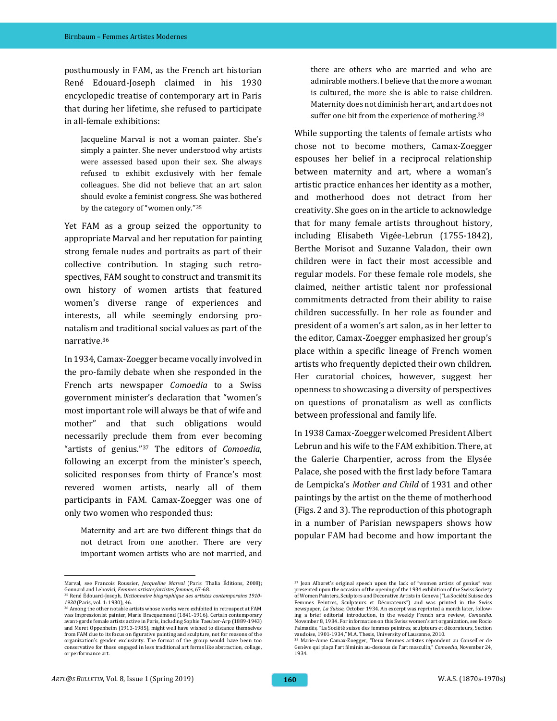posthumously in FAM, as the French art historian René Edouard-Joseph claimed in his 1930 encyclopedic treatise of contemporary art in Paris that during her lifetime, she refused to participate in all-female exhibitions:

Jacqueline Marval is not a woman painter. She's simply a painter. She never understood why artists were assessed based upon their sex. She always refused to exhibit exclusively with her female colleagues. She did not believe that an art salon should evoke a feminist congress. She was bothered by the category of "women only."<sup>35</sup>

Yet FAM as a group seized the opportunity to appropriate Marval and her reputation for painting strong female nudes and portraits as part of their collective contribution. In staging such retrospectives, FAM sought to construct and transmit its own history of women artists that featured women's diverse range of experiences and interests, all while seemingly endorsing pronatalism and traditional social values as part of the narrative.<sup>36</sup>

In 1934, Camax-Zoegger became vocally involved in the pro-family debate when she responded in the French arts newspaper *Comoedia* to a Swiss government minister's declaration that "women's most important role will always be that of wife and mother" and that such obligations would necessarily preclude them from ever becoming "artists of genius."<sup>37</sup> The editors of *Comoedia*, following an excerpt from the minister's speech, solicited responses from thirty of France's most revered women artists, nearly all of them participants in FAM. Camax-Zoegger was one of only two women who responded thus:

Maternity and art are two different things that do not detract from one another. There are very important women artists who are not married, and

there are others who are married and who are admirable mothers. I believe that the more a woman is cultured, the more she is able to raise children. Maternity does not diminish her art, and art does not suffer one bit from the experience of mothering.<sup>38</sup>

While supporting the talents of female artists who chose not to become mothers, Camax-Zoegger espouses her belief in a reciprocal relationship between maternity and art, where a woman's artistic practice enhances her identity as a mother, and motherhood does not detract from her creativity. She goes on in the article to acknowledge that for many female artists throughout history, including Elisabeth Vigée-Lebrun (1755-1842), Berthe Morisot and Suzanne Valadon, their own children were in fact their most accessible and regular models. For these female role models, she claimed, neither artistic talent nor professional commitments detracted from their ability to raise children successfully. In her role as founder and president of a women's art salon, as in her letter to the editor, Camax-Zoegger emphasized her group's place within a specific lineage of French women artists who frequently depicted their own children. Her curatorial choices, however, suggest her openness to showcasing a diversity of perspectives on questions of pronatalism as well as conflicts between professional and family life.

In 1938 Camax-Zoegger welcomed President Albert Lebrun and his wife to the FAM exhibition. There, at the Galerie Charpentier, across from the Elysée Palace, she posed with the first lady before Tamara de Lempicka's *Mother and Child* of 1931 and other paintings by the artist on the theme of motherhood (Figs. 2 and 3). The reproduction of this photograph in a number of Parisian newspapers shows how popular FAM had become and how important the

Marval, see Francois Roussier, *Jacqueline Marval* (Paris: Thalia Éditions, 2008); Gonnard and Lebovici, *Femmes artistes/artistes femmes*, 67-68. <sup>35</sup> René Édouard-Joseph, *Dictionnaire biographique des artistes contemporains 1910-*

*<sup>1930</sup>* (Paris, vol. 1: 1930), 46.  $36$  Among the other notable artists whose works were exhibited in retrospect at FAM was Impressionist painter, Marie Bracquemond (1841-1916). Certain contemporary avant-garde female artists active in Paris, including Sophie Taeuber-Arp (1889-1943) and Meret Oppenheim (1913-1985), might well have wished to distance themselves from FAM due to its focus on figurative painting and sculpture, not for reasons of the organization's gender exclusivity. The format of the group would have been too conservative for those engaged in less traditional art forms like abstraction, collage, or performance art.

<sup>37</sup> Jean Albaret's original speech upon the lack of "women artists of genius" was presented upon the occasion of the opening of the 1934 exhibition of the Swiss Society of Women Painters, Sculptors and Decorative Artists in Geneva ("La Société Suisse des Femmes Peintres, Sculpteurs et Décorateurs") and was printed in the Swiss newspaper, *La Suisse,* October 1934. An excerpt was reprinted a month later, following a brief editorial introduction, in the weekly French arts review, *Comoedia*, November 8, 1934. For information on this Swiss women's art organization, see Rocio Palmadés, "La Société suisse des femmes peintres, sculpteurs et décorateurs, Section vaudoise, 1901-1934," M.A. Thesis, University of Lausanne, 2010.

<sup>38</sup> Marie-Anne Camax-Zoegger, "Deux femmes artistes répondent au Conseiller de Genève qui plaça l'art féminin au-dessous de l'art masculin," *Comoedia*, November 24, 1934.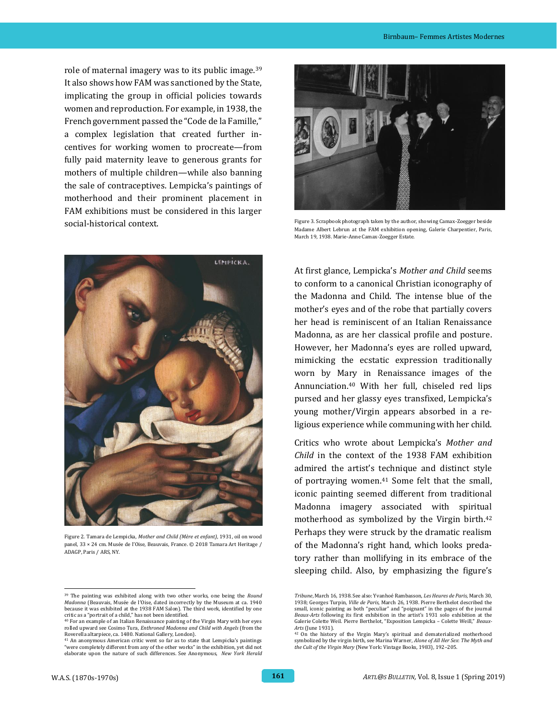role of maternal imagery was to its public image.<sup>39</sup> It also shows how FAM was sanctioned by the State, implicating the group in official policies towards women and reproduction. For example, in 1938, the French government passed the "Code de la Famille," a complex legislation that created further incentives for working women to procreate—from fully paid maternity leave to generous grants for mothers of multiple children—while also banning the sale of contraceptives. Lempicka's paintings of motherhood and their prominent placement in FAM exhibitions must be considered in this larger social-historical context.



Figure 2. Tamara de Lempicka, *Mother and Child (Mère et enfant)*, 1931, oil on wood panel, 33 × 24 cm. Musée de l'Oise, Beauvais, France. © 2018 Tamara Art Heritage / ADAGP, Paris / ARS, NY.



Figure 3. Scrapbook photograph taken by the author, showing Camax-Zoegger beside Madame Albert Lebrun at the FAM exhibition opening, Galerie Charpentier, Paris, March 19, 1938. Marie-Anne Camax-Zoegger Estate.

At first glance, Lempicka's *Mother and Child* seems to conform to a canonical Christian iconography of the Madonna and Child. The intense blue of the mother's eyes and of the robe that partially covers her head is reminiscent of an Italian Renaissance Madonna, as are her classical profile and posture. However, her Madonna's eyes are rolled upward, mimicking the ecstatic expression traditionally worn by Mary in Renaissance images of the Annunciation.<sup>40</sup> With her full, chiseled red lips pursed and her glassy eyes transfixed, Lempicka's young mother/Virgin appears absorbed in a religious experience while communing with her child.

Critics who wrote about Lempicka's *Mother and Child* in the context of the 1938 FAM exhibition admired the artist's technique and distinct style of portraying women.<sup>41</sup> Some felt that the small, iconic painting seemed different from traditional Madonna imagery associated with spiritual motherhood as symbolized by the Virgin birth.<sup>42</sup> Perhaps they were struck by the dramatic realism of the Madonna's right hand, which looks predatory rather than mollifying in its embrace of the sleeping child. Also, by emphasizing the figure's

 <sup>39</sup> The painting was exhibited along with two other works, one being the *Round Madonna* (Beauvais, Musée de l'Oise, dated incorrectly by the Museum at ca. 1940 because it was exhibited at the 1938 FAM Salon). The third work, identified by one critic as a "portrait of a child," has not been identified.

<sup>40</sup> For an example of an Italian Renaissance painting of the Virgin Mary with her eyes rolled upward see Cosimo Tura, *Enthroned Madonna and Child with Angels* (from the Roverella altarpiece, ca. 1480. National Gallery, London).

<sup>41</sup> An anonymous American critic went so far as to state that Lempicka's paintings "were completely different from any of the other works" in the exhibition, yet did not elaborate upon the nature of such differences. See Anonymous, *New York Herald* 

*Tribune*, March 16, 1938. See also: Yvanhoé Rambasson, *Les Heures de Paris*, March 30, 1938; Georges Turpin, *Ville de Paris*, March 26, 1938. Pierre Berthelot described the small, iconic painting as both "peculiar" and "poignant" in the pages of the journal *Beaux-Arts* following its first exhibition in the artist's 1931 solo exhibition at the Galerie Colette Weil. Pierre Berthelot, "Exposition Lempicka – Colette Weill," *Beaux-Arts* (June 1931).

<sup>42</sup> On the history of the Virgin Mary's spiritual and dematerialized motherhood symbolized by the virgin birth, see Marina Warner, *Alone of All Her Sex*: *The Myth and the Cult of the Virgin Mary* (New York: Vintage Books, 1983), 192–205.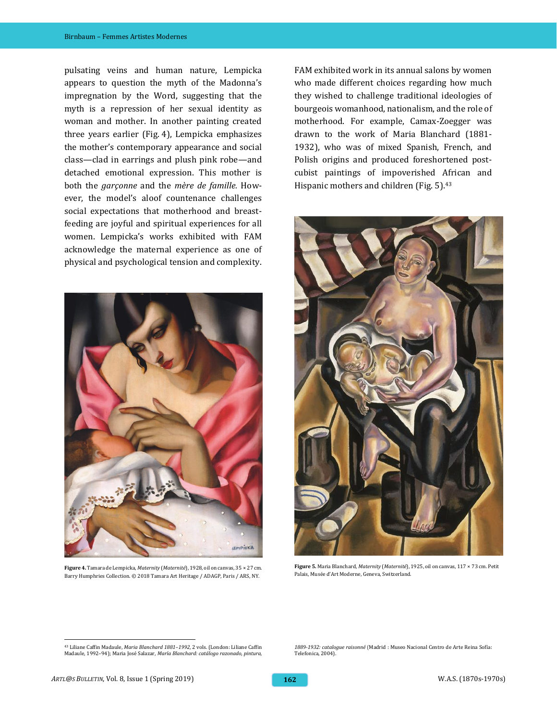pulsating veins and human nature, Lempicka appears to question the myth of the Madonna's impregnation by the Word, suggesting that the myth is a repression of her sexual identity as woman and mother. In another painting created three years earlier (Fig. 4), Lempicka emphasizes the mother's contemporary appearance and social class—clad in earrings and plush pink robe—and detached emotional expression. This mother is both the *garçonne* and the *mère de famille.* However, the model's aloof countenance challenges social expectations that motherhood and breastfeeding are joyful and spiritual experiences for all women. Lempicka's works exhibited with FAM acknowledge the maternal experience as one of physical and psychological tension and complexity.



**Figure 4.** Tamara de Lempicka, *Maternity* (*Maternité*), 1928, oil on canvas, 35 × 27 cm. Barry Humphries Collection. © 2018 Tamara Art Heritage / ADAGP, Paris / ARS, NY.

FAM exhibited work in its annual salons by women who made different choices regarding how much they wished to challenge traditional ideologies of bourgeois womanhood, nationalism, and the role of motherhood. For example, Camax-Zoegger was drawn to the work of Maria Blanchard (1881- 1932), who was of mixed Spanish, French, and Polish origins and produced foreshortened postcubist paintings of impoverished African and Hispanic mothers and children (Fig. 5).<sup>43</sup>



**Figure 5.** Maria Blanchard, *Maternity* (*Maternité*), 1925, oil on canvas, 117 × 73 cm. Petit Palais, Musée d'Art Moderne, Geneva, Switzerland.

*1889-1932: catalogue raisonné*(Madrid : Museo Nacional Centro de Arte Reina Sofía: Telefonica, 2004).

<sup>43</sup> Liliane Caffin Madaule, *Maria Blanchard 1881–1992*, 2 vols. (London: Liliane Caffin Madaule, 1992–94); Maria José Salazar, *María Blanchard: catálogo razonado, pintura,*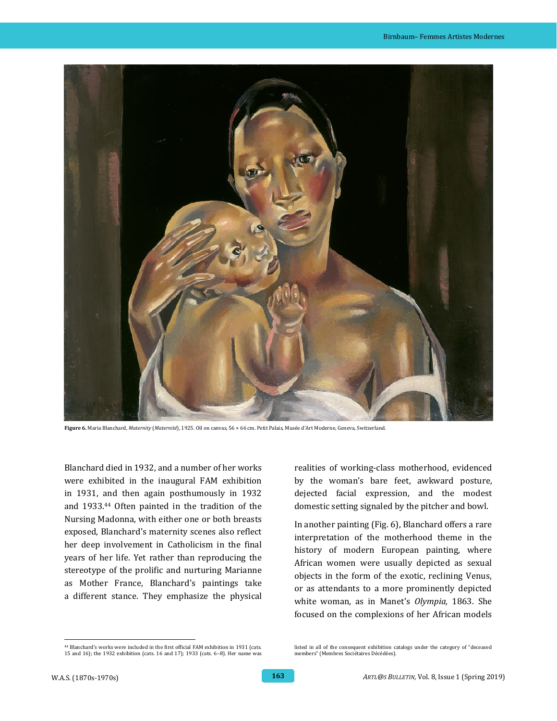

**Figure 6.** Maria Blanchard, *Maternity* (*Maternité*), 1925. Oil on canvas, 56 × 66 cm. Petit Palais, Musée d'Art Moderne, Geneva, Switzerland.

Blanchard died in 1932, and a number of her works were exhibited in the inaugural FAM exhibition in 1931, and then again posthumously in 1932 and 1933.<sup>44</sup> Often painted in the tradition of the Nursing Madonna, with either one or both breasts exposed, Blanchard's maternity scenes also reflect her deep involvement in Catholicism in the final years of her life. Yet rather than reproducing the stereotype of the prolific and nurturing Marianne as Mother France, Blanchard's paintings take a different stance. They emphasize the physical

realities of working-class motherhood, evidenced by the woman's bare feet, awkward posture, dejected facial expression, and the modest domestic setting signaled by the pitcher and bowl.

In another painting (Fig. 6), Blanchard offers a rare interpretation of the motherhood theme in the history of modern European painting, where African women were usually depicted as sexual objects in the form of the exotic, reclining Venus, or as attendants to a more prominently depicted white woman, as in Manet's *Olympia,* 1863. She focused on the complexions of her African models

 <sup>44</sup> Blanchard's works were included in the first official FAM exhibition in 1931 (cats. 15 and 16); the 1932 exhibition (cats. 16 and 17); 1933 (cats. 6–8). Her name was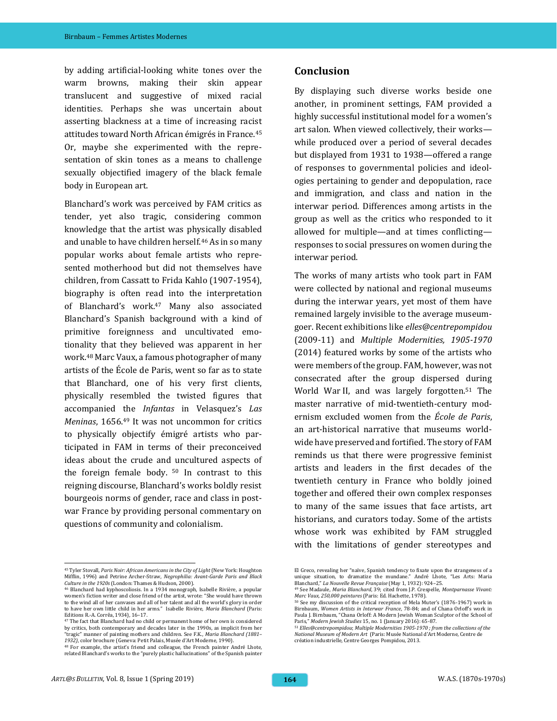by adding artificial-looking white tones over the warm browns, making their skin appear translucent and suggestive of mixed racial identities. Perhaps she was uncertain about asserting blackness at a time of increasing racist attitudes toward North African émigrés in France.<sup>45</sup> Or, maybe she experimented with the representation of skin tones as a means to challenge sexually objectified imagery of the black female body in European art.

Blanchard's work was perceived by FAM critics as tender, yet also tragic, considering common knowledge that the artist was physically disabled and unable to have children herself.<sup>46</sup> As in so many popular works about female artists who represented motherhood but did not themselves have children, from Cassatt to Frida Kahlo (1907-1954), biography is often read into the interpretation of Blanchard's work.<sup>47</sup> Many also associated Blanchard's Spanish background with a kind of primitive foreignness and uncultivated emotionality that they believed was apparent in her work.<sup>48</sup> Marc Vaux, a famous photographer of many artists of the École de Paris, went so far as to state that Blanchard, one of his very first clients, physically resembled the twisted figures that accompanied the *Infantas* in Velasquez's *Las Meninas*, 1656.<sup>49</sup> It was not uncommon for critics to physically objectify émigré artists who participated in FAM in terms of their preconceived ideas about the crude and uncultured aspects of the foreign female body. <sup>50</sup> In contrast to this reigning discourse, Blanchard's works boldly resist bourgeois norms of gender, race and class in postwar France by providing personal commentary on questions of community and colonialism.

#### **Conclusion**

By displaying such diverse works beside one another, in prominent settings, FAM provided a highly successful institutional model for a women's art salon. When viewed collectively, their works while produced over a period of several decades but displayed from 1931 to 1938—offered a range of responses to governmental policies and ideologies pertaining to gender and depopulation, race and immigration, and class and nation in the interwar period. Differences among artists in the group as well as the critics who responded to it allowed for multiple—and at times conflicting responses to social pressures on women during the interwar period.

The works of many artists who took part in FAM were collected by national and regional museums during the interwar years, yet most of them have remained largely invisible to the average museumgoer. Recent exhibitions like *elles@centrepompidou* (2009-11) and *Multiple Modernities, 1905-1970* (2014) featured works by some of the artists who were members of the group. FAM, however, was not consecrated after the group dispersed during World War II, and was largely forgotten.<sup>51</sup> The master narrative of mid-twentieth-century modernism excluded women from the *École de Paris*, an art-historical narrative that museums worldwide have preserved and fortified. The story of FAM reminds us that there were progressive feminist artists and leaders in the first decades of the twentieth century in France who boldly joined together and offered their own complex responses to many of the same issues that face artists, art historians, and curators today. Some of the artists whose work was exhibited by FAM struggled with the limitations of gender stereotypes and

 <sup>45</sup> Tyler Stovall, *Paris Noir: African Americans in the City of Light* (New York: Houghton Mifflin, 1996) and Petrine Archer-Straw, *Negrophilia: Avant-Garde Paris and Black Culture in the 1920s* (London: Thames & Hudson, 2000). <sup>46</sup> Blanchard had kyphoscoliosis. In a 1934 monograph, Isabelle Rivière, a popular

women's fiction writer and close friend of the artist, wrote: "She would have thrown to the wind all of her canvases and all of her talent and all the world's glory in order to have her own little child in her arms." Isabelle Rivière, *Maria Blanchard* (Paris: Editions R.-A. Corrêa, 1934), 16–17.

<sup>47</sup> The fact that Blanchard had no child or permanent home of her own is considered by critics, both contemporary and decades later in the 1990s, as implicit from her "tragic" manner of painting mothers and children. See F.K., *Maria Blanchard (1881– 1932)*, color brochure (Geneva: Petit Palais, Musée d'Art Moderne, 1990).

<sup>48</sup> For example, the artist's friend and colleague, the French painter André Lhote, related Blanchard's works to the "purely plastic hallucinations" of the Spanish painter

El Greco, revealing her "naïve, Spanish tendency to fixate upon the strangeness of a unique situation, to dramatize the mundane." André Lhote, "Les Arts: Maria

Blanchard," *La Nouvelle Revue Française* (May 1, 1932): 924–25. <sup>49</sup> See Madaule, *Maria Blanchard*, 39; cited from J.P. Crespelle, *Montparnasse Vivant: Marc Vaux, 250,000 peintures* (Paris: Ed. Hachette, 1978).

<sup>50</sup> See my discussion of the critical reception of Mela Muter's (1876-1967) work in Birnbaum, *Women Artists in Interwar France*, 78-84; and of Chana Orloff's work in Paula J. Birnbaum, "Chana Orloff: A Modern Jewish Woman Sculptor of the School of Paris," *Modern Jewish Studies* 15, no. 1 (January 2016): 65-87. <sup>51</sup> *Elles@centrepompidou*; *Multiple Modernities 1905-1970 ; from the collections of the* 

*National Museum of Modern Art* (Paris: Musée National d'Art Moderne, Centre de création industrielle, Centre Georges Pompidou, 2013.